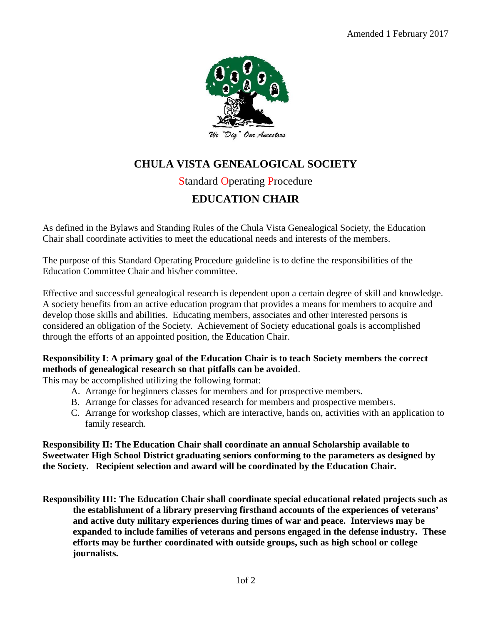

# **CHULA VISTA GENEALOGICAL SOCIETY**

### Standard Operating Procedure

## **EDUCATION CHAIR**

As defined in the Bylaws and Standing Rules of the Chula Vista Genealogical Society, the Education Chair shall coordinate activities to meet the educational needs and interests of the members.

The purpose of this Standard Operating Procedure guideline is to define the responsibilities of the Education Committee Chair and his/her committee.

Effective and successful genealogical research is dependent upon a certain degree of skill and knowledge. A society benefits from an active education program that provides a means for members to acquire and develop those skills and abilities. Educating members, associates and other interested persons is considered an obligation of the Society. Achievement of Society educational goals is accomplished through the efforts of an appointed position, the Education Chair.

#### **Responsibility I**: **A primary goal of the Education Chair is to teach Society members the correct methods of genealogical research so that pitfalls can be avoided**.

This may be accomplished utilizing the following format:

- A. Arrange for beginners classes for members and for prospective members.
- B. Arrange for classes for advanced research for members and prospective members.
- C. Arrange for workshop classes, which are interactive, hands on, activities with an application to family research.

**Responsibility II: The Education Chair shall coordinate an annual Scholarship available to Sweetwater High School District graduating seniors conforming to the parameters as designed by the Society. Recipient selection and award will be coordinated by the Education Chair.**

**Responsibility III: The Education Chair shall coordinate special educational related projects such as the establishment of a library preserving firsthand accounts of the experiences of veterans' and active duty military experiences during times of war and peace. Interviews may be expanded to include families of veterans and persons engaged in the defense industry. These efforts may be further coordinated with outside groups, such as high school or college journalists.**